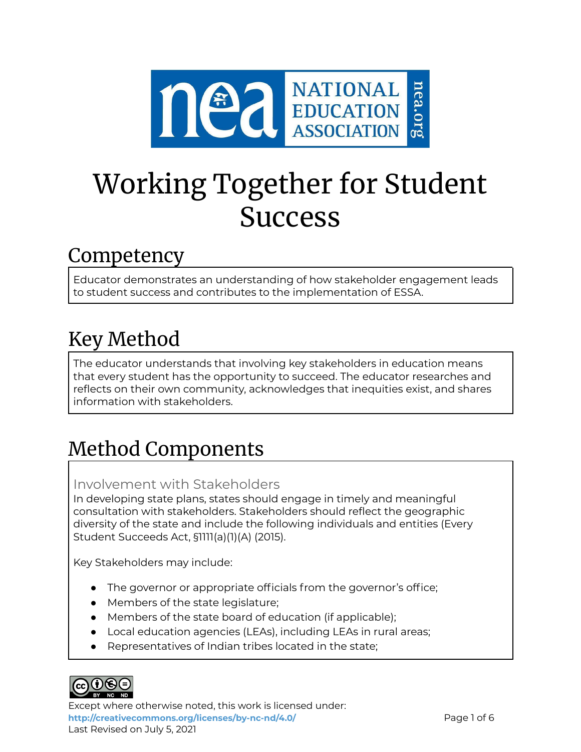

# Working Together for Student Success

### Competency

Educator demonstrates an understanding of how stakeholder engagement leads to student success and contributes to the implementation of ESSA.

# Key Method

The educator understands that involving key stakeholders in education means that every student has the opportunity to succeed. The educator researches and reflects on their own community, acknowledges that inequities exist, and shares information with stakeholders.

# Method Components

#### Involvement with Stakeholders

In developing state plans, states should engage in timely and meaningful consultation with stakeholders. Stakeholders should reflect the geographic diversity of the state and include the following individuals and entities (Every Student Succeeds Act, §1111(a)(1)(A) (2015).

Key Stakeholders may include:

- The governor or appropriate officials from the governor's office;
- Members of the state legislature;
- Members of the state board of education (if applicable);
- Local education agencies (LEAs), including LEAs in rural areas;
- Representatives of Indian tribes located in the state:



Except where otherwise noted, this work is licensed under: <http://creativecommons.org/licenses/by-nc-nd/4.0/> **Page 1 of 6** Last Revised on July 5, 2021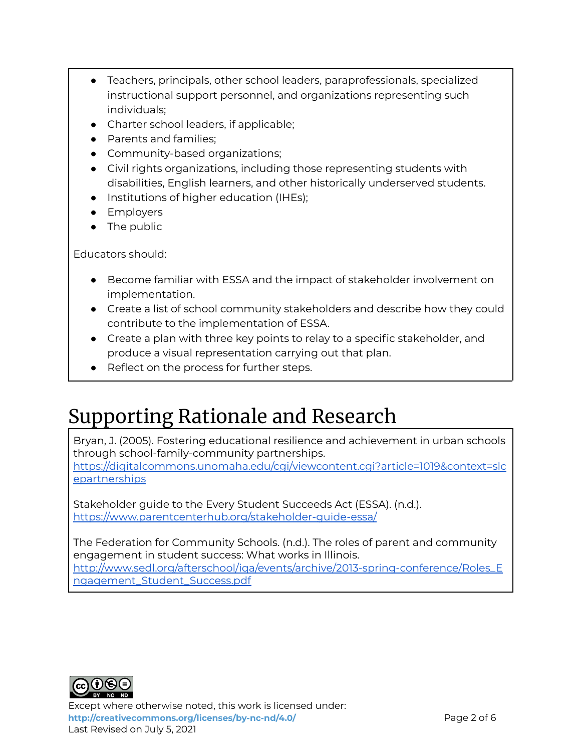- Teachers, principals, other school leaders, paraprofessionals, specialized instructional support personnel, and organizations representing such individuals;
- Charter school leaders, if applicable;
- Parents and families;
- Community-based organizations;
- Civil rights organizations, including those representing students with disabilities, English learners, and other historically underserved students.
- Institutions of higher education (IHEs);
- Employers
- The public

Educators should:

- Become familiar with ESSA and the impact of stakeholder involvement on implementation.
- Create a list of school community stakeholders and describe how they could contribute to the implementation of ESSA.
- Create a plan with three key points to relay to a specific stakeholder, and produce a visual representation carrying out that plan.
- Reflect on the process for further steps.

## Supporting Rationale and Research

Bryan, J. (2005). Fostering educational resilience and achievement in urban schools through school-family-community partnerships. [https://digitalcommons.unomaha.edu/cgi/viewcontent.cgi?article=1019&context=slc](https://digitalcommons.unomaha.edu/cgi/viewcontent.cgi?article=1019&context=slcepartnerships)

[epartnerships](https://digitalcommons.unomaha.edu/cgi/viewcontent.cgi?article=1019&context=slcepartnerships)

Stakeholder guide to the Every Student Succeeds Act (ESSA). (n.d.). <https://www.parentcenterhub.org/stakeholder-guide-essa/>

The Federation for Community Schools. (n.d.). The roles of parent and community engagement in student success: What works in Illinois. [http://www.sedl.org/afterschool/iqa/events/archive/2013-spring-conference/Roles\\_E](http://www.sedl.org/afterschool/iqa/events/archive/2013-spring-conference/Roles_Engagement_Student_Success.pdf) [ngagement\\_Student\\_Success.pdf](http://www.sedl.org/afterschool/iqa/events/archive/2013-spring-conference/Roles_Engagement_Student_Success.pdf)



Except where otherwise noted, this work is licensed under: **<http://creativecommons.org/licenses/by-nc-nd/4.0/>** Page 2 of 6 Last Revised on July 5, 2021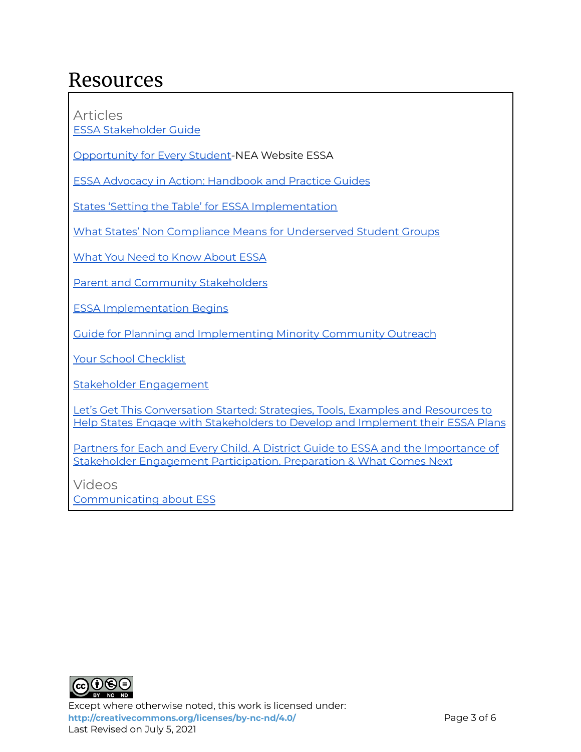### Resources

Articles

ESSA [Stakeholder](https://www.parentcenterhub.org/stakeholder-guide-essa/#stakeholder) Guide

[Opportunity](https://www.nea.org/student-success/smart-just-policies/essa) for Every Student-NEA Website ESSA

ESSA Advocacy in Action: [Handbook](https://www.nea.org/resource-library/essa-advocacy-action-handbook-and-practice-guides) and Practice Guides

States 'Setting the Table' for ESSA [Implementation](https://www.nea.org/advocating-for-change/new-from-nea/states-setting-table-essa-implementation)

What States' Non Compliance Means for [Underserved](https://partnersforeachandeverychild.org/federal-update/archive/what-states-essa-non-compliance-means-for-underserved-student-groups/) Student Groups

What You Need to Know [About](https://www.nea.org/resource-library/just-facts-what-you-need-know-about-essa) ESSA

Parent and Community [Stakeholders](https://www.nea.org/resource-library/essa-new-opportunities-families-and-communities)

ESSA [Implementation](https://www.nea.org/professional-excellence/student-engagement/tools-tips/claiming-our-voice-essa-implementation) Begins

Guide for Planning and [Implementing](https://drive.google.com/file/d/0B_ul3N_y73yFX0dsWUc2UkZOUG8/view?usp=sharing&resourcekey=0-24XXiJZ2j1jBpxpaWhf6wQ) Minority Community Outreach

Your School [Checklist](http://pages.email.nea.org/your-school-checklist/?_ga=2.225352797.697297351.1625423452-452654973.1625423452)

Stakeholder [Engagement](https://drive.google.com/file/d/0B_ul3N_y73yFWFFBdy10QUFFZkE/view?usp=sharing&resourcekey=0-NTxjR69lPiCEdws1UfRHdA)

Let's Get This [Conversation](https://drive.google.com/drive/folders/0B_ul3N_y73yFLUlvQkEtZnJRRDA?resourcekey=0-7gQTe90QwWGUVpvw18Ykbw) Started: Strategies, Tools, Examples and Resources to Help States Engage with [Stakeholders](https://drive.google.com/drive/folders/0B_ul3N_y73yFLUlvQkEtZnJRRDA?resourcekey=0-7gQTe90QwWGUVpvw18Ykbw) to Develop and Implement their ESSA Plans

Partners for Each and Every Child. A District Guide to ESSA and the [Importance](https://drive.google.com/file/d/0B_ul3N_y73yFc1RiMDNkcTZMM3c/view?usp=sharing&resourcekey=0-P5-ooaQI-ck6CSEQvNUgyA) of Stakeholder Engagement [Participation,](https://drive.google.com/file/d/0B_ul3N_y73yFc1RiMDNkcTZMM3c/view?usp=sharing&resourcekey=0-P5-ooaQI-ck6CSEQvNUgyA) Preparation & What Comes Next

Videos [Communicating](https://www.youtube.com/watch?v=tHAzJ_kWiok) about ESS



Except where otherwise noted, this work is licensed under: <http://creativecommons.org/licenses/by-nc-nd/4.0/> **Page 3 of 6** Last Revised on July 5, 2021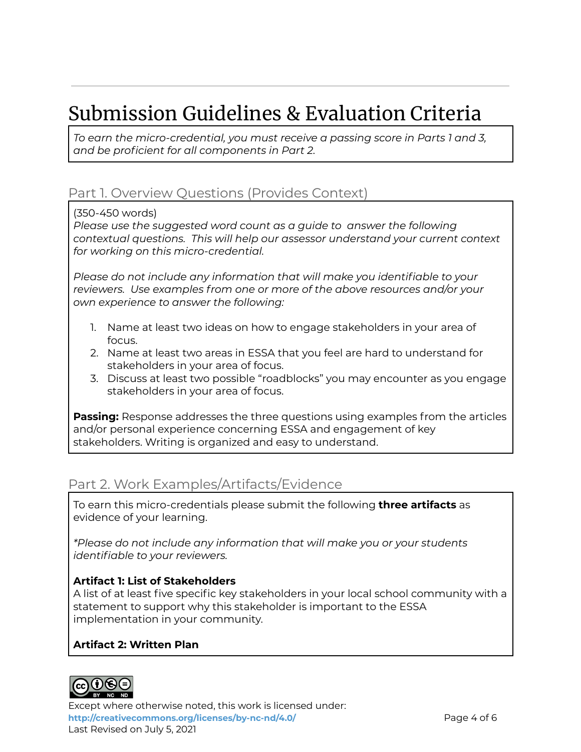# Submission Guidelines & Evaluation Criteria

*To earn the micro-credential, you must receive a passing score in Parts 1 and 3, and be proficient for all components in Part 2.*

#### Part 1. Overview Questions (Provides Context)

(350-450 words)

*Please use the suggested word count as a guide to answer the following contextual questions. This will help our assessor understand your current context for working on this micro-credential.*

*Please do not include any information that will make you identifiable to your reviewers. Use examples from one or more of the above resources and/or your own experience to answer the following:*

- 1. Name at least two ideas on how to engage stakeholders in your area of focus.
- 2. Name at least two areas in ESSA that you feel are hard to understand for stakeholders in your area of focus.
- 3. Discuss at least two possible "roadblocks" you may encounter as you engage stakeholders in your area of focus.

**Passing:** Response addresses the three questions using examples from the articles and/or personal experience concerning ESSA and engagement of key stakeholders. Writing is organized and easy to understand.

#### Part 2. Work Examples/Artifacts/Evidence

To earn this micro-credentials please submit the following **three artifacts** as evidence of your learning.

*\*Please do not include any information that will make you or your students identifiable to your reviewers.*

#### **Artifact 1: List of Stakeholders**

A list of at least five specific key stakeholders in your local school community with a statement to support why this stakeholder is important to the ESSA implementation in your community.

#### **Artifact 2: Written Plan**



Except where otherwise noted, this work is licensed under: **<http://creativecommons.org/licenses/by-nc-nd/4.0/>** Page 4 of 6 Last Revised on July 5, 2021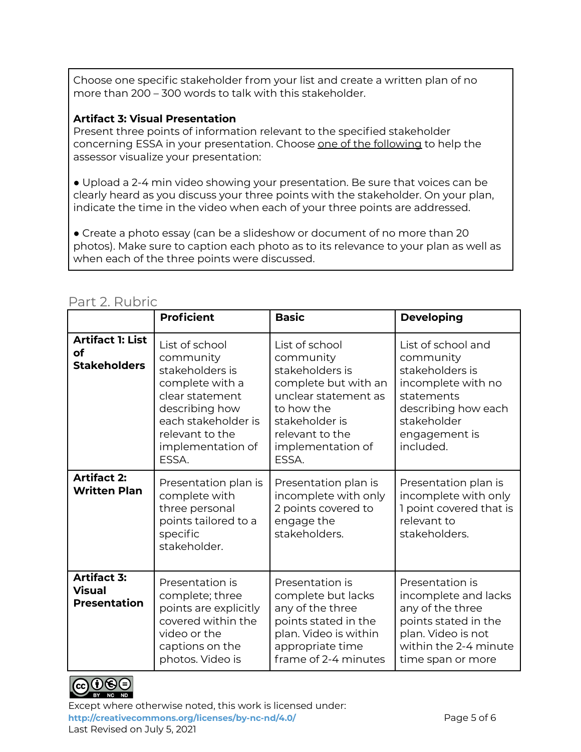Choose one specific stakeholder from your list and create a written plan of no more than 200 – 300 words to talk with this stakeholder.

#### **Artifact 3: Visual Presentation**

Present three points of information relevant to the specified stakeholder concerning ESSA in your presentation. Choose one of the following to help the assessor visualize your presentation:

● Upload a 2-4 min video showing your presentation. Be sure that voices can be clearly heard as you discuss your three points with the stakeholder. On your plan, indicate the time in the video when each of your three points are addressed.

• Create a photo essay (can be a slideshow or document of no more than 20 photos). Make sure to caption each photo as to its relevance to your plan as well as when each of the three points were discussed.

#### Part 2. Rubric

|                                                             | <b>Proficient</b>                                                                                                                                                              | <b>Basic</b>                                                                                                                                                                    | <b>Developing</b>                                                                                                                                          |
|-------------------------------------------------------------|--------------------------------------------------------------------------------------------------------------------------------------------------------------------------------|---------------------------------------------------------------------------------------------------------------------------------------------------------------------------------|------------------------------------------------------------------------------------------------------------------------------------------------------------|
| <b>Artifact 1: List</b><br><b>of</b><br><b>Stakeholders</b> | List of school<br>community<br>stakeholders is<br>complete with a<br>clear statement<br>describing how<br>each stakeholder is<br>relevant to the<br>implementation of<br>ESSA. | List of school<br>community<br>stakeholders is<br>complete but with an<br>unclear statement as<br>to how the<br>stakeholder is<br>relevant to the<br>implementation of<br>ESSA. | List of school and<br>community<br>stakeholders is<br>incomplete with no<br>statements<br>describing how each<br>stakeholder<br>engagement is<br>included. |
| <b>Artifact 2:</b><br><b>Written Plan</b>                   | Presentation plan is<br>complete with<br>three personal<br>points tailored to a<br>specific<br>stakeholder.                                                                    | Presentation plan is<br>incomplete with only<br>2 points covered to<br>engage the<br>stakeholders.                                                                              | Presentation plan is<br>incomplete with only<br>I point covered that is<br>relevant to<br>stakeholders.                                                    |
| <b>Artifact 3:</b><br><b>Visual</b><br><b>Presentation</b>  | Presentation is<br>complete; three<br>points are explicitly<br>covered within the<br>video or the<br>captions on the<br>photos. Video is                                       | Presentation is<br>complete but lacks<br>any of the three<br>points stated in the<br>plan. Video is within<br>appropriate time<br>frame of 2-4 minutes                          | Presentation is<br>incomplete and lacks<br>any of the three<br>points stated in the<br>plan. Video is not<br>within the 2-4 minute<br>time span or more    |